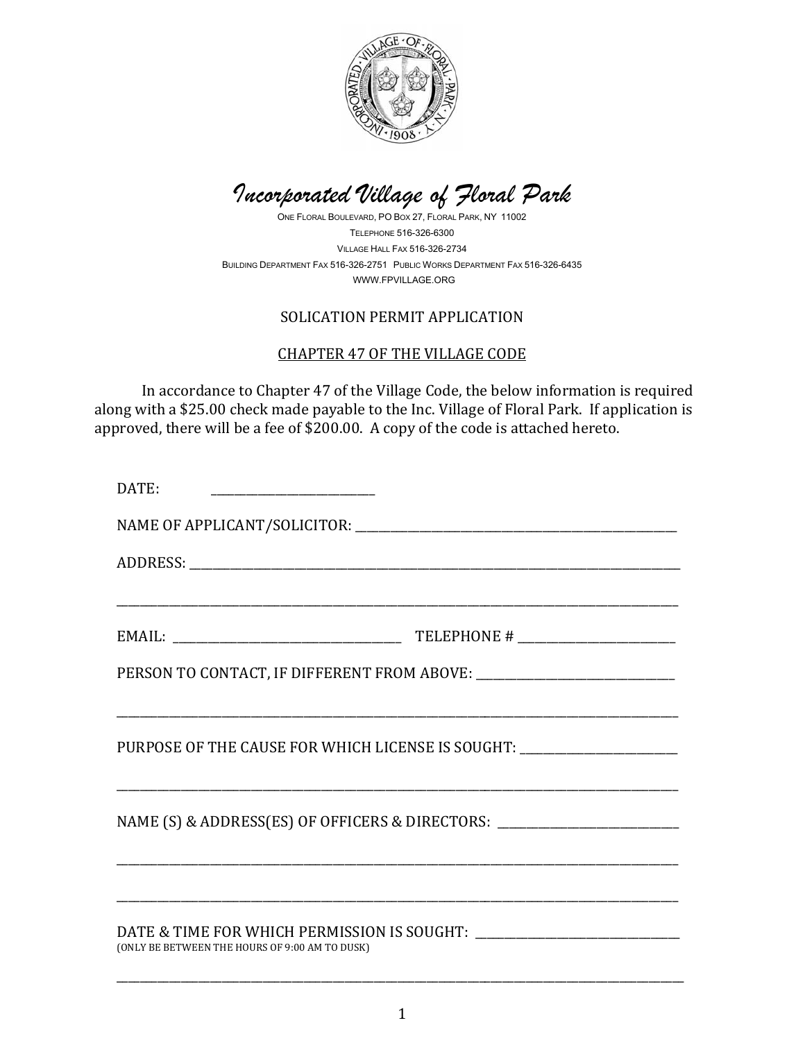

*Incorporated Village of Floral Park*

ONE FLORAL BOULEVARD, PO BOX 27, FLORAL PARK, NY 11002 TELEPHONE 516-326-6300 VILLAGE HALL FAX 516-326-2734 BUILDING DEPARTMENT FAX 516-326-2751 PUBLIC WORKS DEPARTMENT FAX 516-326-6435 WWW.FPVILLAGE.ORG

## SOLICATION PERMIT APPLICATION

## CHAPTER 47 OF THE VILLAGE CODE

 In accordance to Chapter 47 of the Village Code, the below information is required along with a \$25.00 check made payable to the Inc. Village of Floral Park. If application is approved, there will be a fee of \$200.00. A copy of the code is attached hereto.

\_\_\_\_\_\_\_\_\_\_\_\_\_\_\_\_\_\_\_\_\_\_\_\_\_\_\_\_\_\_\_\_\_\_\_\_\_\_\_\_\_\_\_\_\_\_\_\_\_\_\_\_\_\_\_\_\_\_\_\_\_\_\_\_\_\_\_\_\_\_\_\_\_\_\_\_\_\_\_\_\_\_\_\_\_\_\_\_\_\_\_\_\_\_\_\_

\_\_\_\_\_\_\_\_\_\_\_\_\_\_\_\_\_\_\_\_\_\_\_\_\_\_\_\_\_\_\_\_\_\_\_\_\_\_\_\_\_\_\_\_\_\_\_\_\_\_\_\_\_\_\_\_\_\_\_\_\_\_\_\_\_\_\_\_\_\_\_\_\_\_\_\_\_\_\_\_\_\_\_\_\_\_\_\_\_\_\_\_\_\_\_\_

\_\_\_\_\_\_\_\_\_\_\_\_\_\_\_\_\_\_\_\_\_\_\_\_\_\_\_\_\_\_\_\_\_\_\_\_\_\_\_\_\_\_\_\_\_\_\_\_\_\_\_\_\_\_\_\_\_\_\_\_\_\_\_\_\_\_\_\_\_\_\_\_\_\_\_\_\_\_\_\_\_\_\_\_\_\_\_\_\_\_\_\_\_\_\_\_

\_\_\_\_\_\_\_\_\_\_\_\_\_\_\_\_\_\_\_\_\_\_\_\_\_\_\_\_\_\_\_\_\_\_\_\_\_\_\_\_\_\_\_\_\_\_\_\_\_\_\_\_\_\_\_\_\_\_\_\_\_\_\_\_\_\_\_\_\_\_\_\_\_\_\_\_\_\_\_\_\_\_\_\_\_\_\_\_\_\_\_\_\_\_\_\_

\_\_\_\_\_\_\_\_\_\_\_\_\_\_\_\_\_\_\_\_\_\_\_\_\_\_\_\_\_\_\_\_\_\_\_\_\_\_\_\_\_\_\_\_\_\_\_\_\_\_\_\_\_\_\_\_\_\_\_\_\_\_\_\_\_\_\_\_\_\_\_\_\_\_\_\_\_\_\_\_\_\_\_\_\_\_\_\_\_\_\_\_\_\_\_\_

DATE:

NAME OF APPLICANT/SOLICITOR: \_\_\_\_\_\_\_\_\_\_\_\_\_\_\_\_\_\_\_\_\_\_\_\_\_\_\_\_\_\_\_\_\_\_\_\_\_\_\_\_\_\_\_\_\_\_\_\_\_\_\_\_\_\_\_

ADDRESS: \_\_\_\_\_\_\_\_\_\_\_\_\_\_\_\_\_\_\_\_\_\_\_\_\_\_\_\_\_\_\_\_\_\_\_\_\_\_\_\_\_\_\_\_\_\_\_\_\_\_\_\_\_\_\_\_\_\_\_\_\_\_\_\_\_\_\_\_\_\_\_\_\_\_\_\_\_\_\_\_\_\_\_\_

EMAIL: EMAIL:

PERSON TO CONTACT, IF DIFFERENT FROM ABOVE:

PURPOSE OF THE CAUSE FOR WHICH LICENSE IS SOUGHT: \_\_\_\_\_\_\_\_\_\_\_\_\_\_\_\_\_\_\_\_\_\_\_\_\_\_\_\_\_\_

NAME (S) & ADDRESS(ES) OF OFFICERS & DIRECTORS: \_\_\_\_\_\_\_\_\_\_\_\_\_\_\_\_\_\_\_\_\_\_\_\_\_\_\_\_\_\_\_\_

## DATE & TIME FOR WHICH PERMISSION IS SOUGHT: \_\_\_\_\_\_\_\_\_\_\_\_\_\_\_\_\_\_\_\_\_\_\_\_\_\_\_\_\_\_\_\_\_\_\_ (ONLY BE BETWEEN THE HOURS OF 9:00 AM TO DUSK)

\_\_\_\_\_\_\_\_\_\_\_\_\_\_\_\_\_\_\_\_\_\_\_\_\_\_\_\_\_\_\_\_\_\_\_\_\_\_\_\_\_\_\_\_\_\_\_\_\_\_\_\_\_\_\_\_\_\_\_\_\_\_\_\_\_\_\_\_\_\_\_\_\_\_\_\_\_\_\_\_\_\_\_\_\_\_\_\_\_\_\_\_\_\_\_\_\_